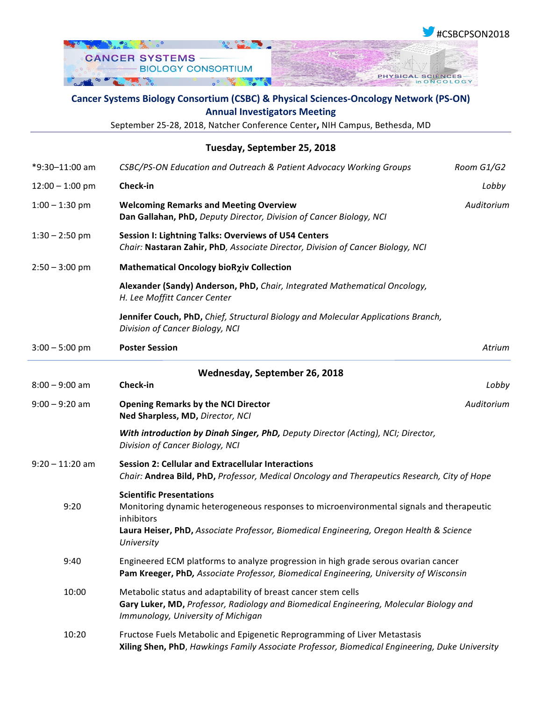

## **Cancer Systems Biology Consortium (CSBC) & Physical Sciences-Oncology Network (PS-ON) Annual Investigators Meeting**

September 25-28, 2018, Natcher Conference Center, NIH Campus, Bethesda, MD

| Tuesday, September 25, 2018                                                                                                                                                                   |                                                                                                                                                                                                                                                    |                   |  |  |
|-----------------------------------------------------------------------------------------------------------------------------------------------------------------------------------------------|----------------------------------------------------------------------------------------------------------------------------------------------------------------------------------------------------------------------------------------------------|-------------------|--|--|
| Room G1/G2                                                                                                                                                                                    | CSBC/PS-ON Education and Outreach & Patient Advocacy Working Groups                                                                                                                                                                                | *9:30-11:00 am    |  |  |
| Lobby                                                                                                                                                                                         | Check-in                                                                                                                                                                                                                                           | $12:00 - 1:00$ pm |  |  |
| Auditorium                                                                                                                                                                                    | <b>Welcoming Remarks and Meeting Overview</b><br>Dan Gallahan, PhD, Deputy Director, Division of Cancer Biology, NCI                                                                                                                               | $1:00 - 1:30$ pm  |  |  |
|                                                                                                                                                                                               | Session I: Lightning Talks: Overviews of U54 Centers<br>Chair: Nastaran Zahir, PhD, Associate Director, Division of Cancer Biology, NCI                                                                                                            | $1:30 - 2:50$ pm  |  |  |
|                                                                                                                                                                                               | Mathematical Oncology bioRxiv Collection                                                                                                                                                                                                           | $2:50 - 3:00$ pm  |  |  |
|                                                                                                                                                                                               | Alexander (Sandy) Anderson, PhD, Chair, Integrated Mathematical Oncology,<br>H. Lee Moffitt Cancer Center                                                                                                                                          |                   |  |  |
|                                                                                                                                                                                               | Jennifer Couch, PhD, Chief, Structural Biology and Molecular Applications Branch,<br>Division of Cancer Biology, NCI                                                                                                                               |                   |  |  |
| Atrium                                                                                                                                                                                        | <b>Poster Session</b>                                                                                                                                                                                                                              | $3:00 - 5:00$ pm  |  |  |
|                                                                                                                                                                                               | Wednesday, September 26, 2018                                                                                                                                                                                                                      |                   |  |  |
| Lobby                                                                                                                                                                                         | Check-in                                                                                                                                                                                                                                           | $8:00 - 9:00$ am  |  |  |
| Auditorium                                                                                                                                                                                    | <b>Opening Remarks by the NCI Director</b><br>Ned Sharpless, MD, Director, NCI                                                                                                                                                                     | $9:00 - 9:20$ am  |  |  |
|                                                                                                                                                                                               | With introduction by Dinah Singer, PhD, Deputy Director (Acting), NCI; Director,<br>Division of Cancer Biology, NCI                                                                                                                                |                   |  |  |
|                                                                                                                                                                                               | <b>Session 2: Cellular and Extracellular Interactions</b><br>Chair: Andrea Bild, PhD, Professor, Medical Oncology and Therapeutics Research, City of Hope                                                                                          | $9:20 - 11:20$ am |  |  |
|                                                                                                                                                                                               | <b>Scientific Presentations</b><br>Monitoring dynamic heterogeneous responses to microenvironmental signals and therapeutic<br>inhibitors<br>Laura Heiser, PhD, Associate Professor, Biomedical Engineering, Oregon Health & Science<br>University |                   |  |  |
|                                                                                                                                                                                               | Engineered ECM platforms to analyze progression in high grade serous ovarian cancer<br>Pam Kreeger, PhD, Associate Professor, Biomedical Engineering, University of Wisconsin                                                                      | 9:40              |  |  |
| Metabolic status and adaptability of breast cancer stem cells<br>Gary Luker, MD, Professor, Radiology and Biomedical Engineering, Molecular Biology and<br>Immunology, University of Michigan |                                                                                                                                                                                                                                                    | 10:00             |  |  |
| Fructose Fuels Metabolic and Epigenetic Reprogramming of Liver Metastasis<br>Xiling Shen, PhD, Hawkings Family Associate Professor, Biomedical Engineering, Duke University                   |                                                                                                                                                                                                                                                    | 10:20             |  |  |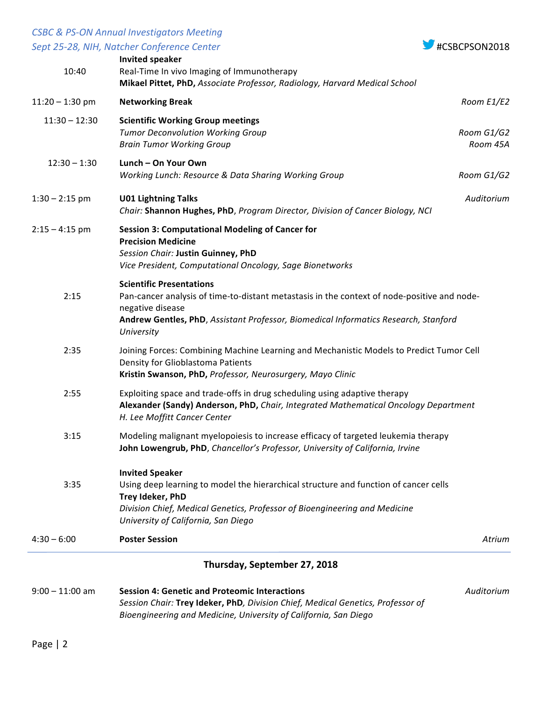## *CSBC & PS-ON Annual Investigators Meeting*



|                              | Sept 25-28, NIH, Natcher Conference Center                                                                                                                                                                                                              | #CSBCPSON2018          |  |  |
|------------------------------|---------------------------------------------------------------------------------------------------------------------------------------------------------------------------------------------------------------------------------------------------------|------------------------|--|--|
| 10:40                        | <b>Invited speaker</b><br>Real-Time In vivo Imaging of Immunotherapy<br>Mikael Pittet, PhD, Associate Professor, Radiology, Harvard Medical School                                                                                                      |                        |  |  |
| $11:20 - 1:30$ pm            | <b>Networking Break</b>                                                                                                                                                                                                                                 | Room E1/E2             |  |  |
| $11:30 - 12:30$              | <b>Scientific Working Group meetings</b><br><b>Tumor Deconvolution Working Group</b><br><b>Brain Tumor Working Group</b>                                                                                                                                | Room G1/G2<br>Room 45A |  |  |
| $12:30 - 1:30$               | Lunch - On Your Own<br>Working Lunch: Resource & Data Sharing Working Group                                                                                                                                                                             | Room G1/G2             |  |  |
| $1:30 - 2:15$ pm             | <b>U01 Lightning Talks</b><br>Chair: Shannon Hughes, PhD, Program Director, Division of Cancer Biology, NCI                                                                                                                                             | Auditorium             |  |  |
| $2:15 - 4:15$ pm             | <b>Session 3: Computational Modeling of Cancer for</b><br><b>Precision Medicine</b><br>Session Chair: Justin Guinney, PhD<br>Vice President, Computational Oncology, Sage Bionetworks                                                                   |                        |  |  |
| 2:15                         | <b>Scientific Presentations</b><br>Pan-cancer analysis of time-to-distant metastasis in the context of node-positive and node-<br>negative disease<br>Andrew Gentles, PhD, Assistant Professor, Biomedical Informatics Research, Stanford<br>University |                        |  |  |
| 2:35                         | Joining Forces: Combining Machine Learning and Mechanistic Models to Predict Tumor Cell<br>Density for Glioblastoma Patients<br>Kristin Swanson, PhD, Professor, Neurosurgery, Mayo Clinic                                                              |                        |  |  |
| 2:55                         | Exploiting space and trade-offs in drug scheduling using adaptive therapy<br>Alexander (Sandy) Anderson, PhD, Chair, Integrated Mathematical Oncology Department<br>H. Lee Moffitt Cancer Center                                                        |                        |  |  |
| 3:15                         | Modeling malignant myelopoiesis to increase efficacy of targeted leukemia therapy<br>John Lowengrub, PhD, Chancellor's Professor, University of California, Irvine                                                                                      |                        |  |  |
| 3:35                         | <b>Invited Speaker</b><br>Using deep learning to model the hierarchical structure and function of cancer cells<br>Trey Ideker, PhD<br>Division Chief, Medical Genetics, Professor of Bioengineering and Medicine<br>University of California, San Diego |                        |  |  |
| $4:30 - 6:00$                | <b>Poster Session</b>                                                                                                                                                                                                                                   | Atrium                 |  |  |
| Thursday, September 27, 2018 |                                                                                                                                                                                                                                                         |                        |  |  |
| $9:00 - 11:00$ am            | <b>Session 4: Genetic and Proteomic Interactions</b><br>Session Chair: Trey Ideker, PhD, Division Chief, Medical Genetics, Professor of<br>Bioengineering and Medicine, University of California, San Diego                                             | Auditorium             |  |  |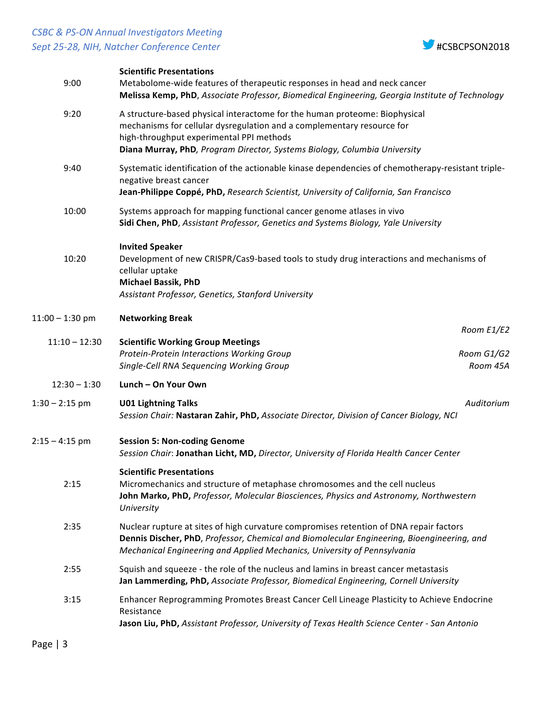## *CSBC & PS-ON Annual Investigators Meeting* **Sept 25-28, NIH, Natcher Conference Center All Conference Exercísion 18 #CSBCPSON2018**



| 9:00              | <b>Scientific Presentations</b><br>Metabolome-wide features of therapeutic responses in head and neck cancer<br>Melissa Kemp, PhD, Associate Professor, Biomedical Engineering, Georgia Institute of Technology                                                               |  |
|-------------------|-------------------------------------------------------------------------------------------------------------------------------------------------------------------------------------------------------------------------------------------------------------------------------|--|
| 9:20              | A structure-based physical interactome for the human proteome: Biophysical<br>mechanisms for cellular dysregulation and a complementary resource for<br>high-throughput experimental PPI methods<br>Diana Murray, PhD, Program Director, Systems Biology, Columbia University |  |
| 9:40              | Systematic identification of the actionable kinase dependencies of chemotherapy-resistant triple-<br>negative breast cancer<br>Jean-Philippe Coppé, PhD, Research Scientist, University of California, San Francisco                                                          |  |
| 10:00             | Systems approach for mapping functional cancer genome atlases in vivo<br>Sidi Chen, PhD, Assistant Professor, Genetics and Systems Biology, Yale University                                                                                                                   |  |
| 10:20             | <b>Invited Speaker</b><br>Development of new CRISPR/Cas9-based tools to study drug interactions and mechanisms of<br>cellular uptake<br><b>Michael Bassik, PhD</b><br>Assistant Professor, Genetics, Stanford University                                                      |  |
| $11:00 - 1:30$ pm | <b>Networking Break</b>                                                                                                                                                                                                                                                       |  |
| $11:10 - 12:30$   | Room E1/E2<br><b>Scientific Working Group Meetings</b>                                                                                                                                                                                                                        |  |
|                   | Protein-Protein Interactions Working Group<br>Room G1/G2<br>Single-Cell RNA Sequencing Working Group<br>Room 45A                                                                                                                                                              |  |
| $12:30 - 1:30$    | Lunch - On Your Own                                                                                                                                                                                                                                                           |  |
| $1:30 - 2:15$ pm  | Auditorium<br><b>U01 Lightning Talks</b><br>Session Chair: Nastaran Zahir, PhD, Associate Director, Division of Cancer Biology, NCI                                                                                                                                           |  |
| $2:15 - 4:15$ pm  | <b>Session 5: Non-coding Genome</b><br>Session Chair: Jonathan Licht, MD, Director, University of Florida Health Cancer Center                                                                                                                                                |  |
| 2:15              | <b>Scientific Presentations</b><br>Micromechanics and structure of metaphase chromosomes and the cell nucleus<br>John Marko, PhD, Professor, Molecular Biosciences, Physics and Astronomy, Northwestern<br>University                                                         |  |
| 2:35              | Nuclear rupture at sites of high curvature compromises retention of DNA repair factors<br>Dennis Discher, PhD, Professor, Chemical and Biomolecular Engineering, Bioengineering, and<br>Mechanical Engineering and Applied Mechanics, University of Pennsylvania              |  |
| 2:55              | Squish and squeeze - the role of the nucleus and lamins in breast cancer metastasis<br>Jan Lammerding, PhD, Associate Professor, Biomedical Engineering, Cornell University                                                                                                   |  |
| 3:15              | Enhancer Reprogramming Promotes Breast Cancer Cell Lineage Plasticity to Achieve Endocrine<br>Resistance<br>Jason Liu, PhD, Assistant Professor, University of Texas Health Science Center - San Antonio                                                                      |  |